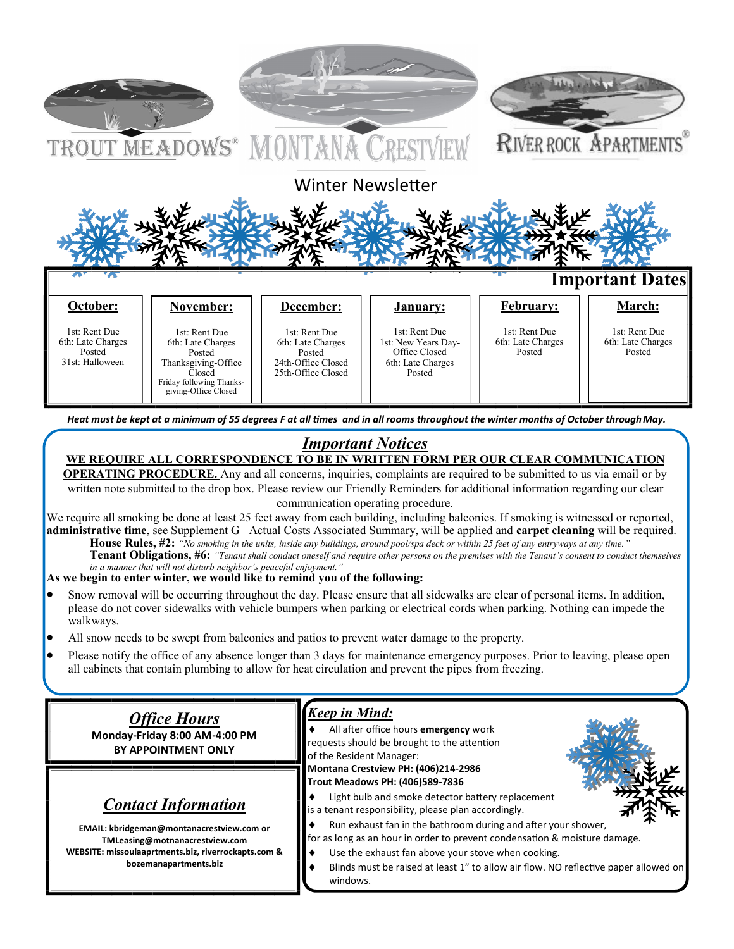

*Heat must be kept at a minimum of 55 degrees F at all times and in all rooms throughout the winter months of October throughMay.* 

# *Important Notices*

# **WE REQUIRE ALL CORRESPONDENCE TO BE IN WRITTEN FORM PER OUR CLEAR COMMUNICATION**

**OPERATING PROCEDURE.** Any and all concerns, inquiries, complaints are required to be submitted to us via email or by written note submitted to the drop box. Please review our Friendly Reminders for additional information regarding our clear communication operating procedure.

We require all smoking be done at least 25 feet away from each building, including balconies. If smoking is witnessed or reported, **administrative time**, see Supplement G –Actual Costs Associated Summary, will be applied and **carpet cleaning** will be required.

**House Rules, #2:** *"No smoking in the units, inside any buildings, around pool/spa deck or within 25 feet of any entryways at any time."*  **Tenant Obligations, #6:** *"Tenant shall conduct oneself and require other persons on the premises with the Tenant's consent to conduct themselves in a manner that will not disturb neighbor's peaceful enjoyment."* 

#### **As we begin to enter winter, we would like to remind you of the following:**

- Snow removal will be occurring throughout the day. Please ensure that all sidewalks are clear of personal items. In addition, please do not cover sidewalks with vehicle bumpers when parking or electrical cords when parking. Nothing can impede the walkways.
- All snow needs to be swept from balconies and patios to prevent water damage to the property.
- Please notify the office of any absence longer than 3 days for maintenance emergency purposes. Prior to leaving, please open all cabinets that contain plumbing to allow for heat circulation and prevent the pipes from freezing.